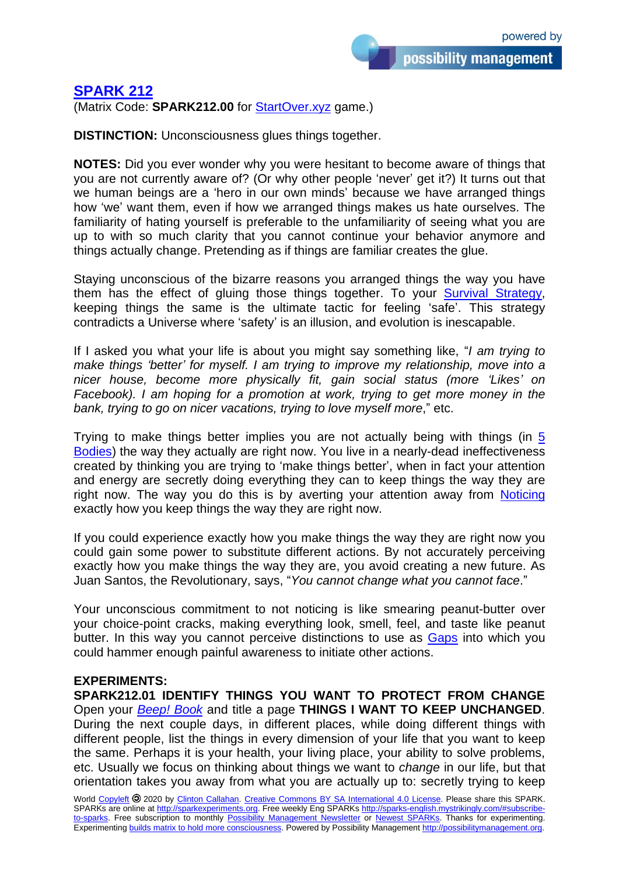## **[SPARK 212](http://sparks-english.mystrikingly.com/)**

(Matrix Code: **SPARK212.00** for [StartOver.xyz](http://startoverxyz.mystrikingly.com/) game.)

**DISTINCTION:** Unconsciousness glues things together.

**NOTES:** Did you ever wonder why you were hesitant to become aware of things that you are not currently aware of? (Or why other people 'never' get it?) It turns out that we human beings are a 'hero in our own minds' because we have arranged things how 'we' want them, even if how we arranged things makes us hate ourselves. The familiarity of hating yourself is preferable to the unfamiliarity of seeing what you are up to with so much clarity that you cannot continue your behavior anymore and things actually change. Pretending as if things are familiar creates the glue.

Staying unconscious of the bizarre reasons you arranged things the way you have them has the effect of gluing those things together. To your [Survival Strategy,](http://survivalstrategy.mystrikingly.com/) keeping things the same is the ultimate tactic for feeling 'safe'. This strategy contradicts a Universe where 'safety' is an illusion, and evolution is inescapable.

If I asked you what your life is about you might say something like, "*I am trying to make things 'better' for myself. I am trying to improve my relationship, move into a nicer house, become more physically fit, gain social status (more 'Likes' on Facebook). I am hoping for a promotion at work, trying to get more money in the bank, trying to go on nicer vacations, trying to love myself more*," etc.

Trying to make things better implies you are not actually being with things (in [5](http://5bodies.mystrikingly.com/)  [Bodies\)](http://5bodies.mystrikingly.com/) the way they actually are right now. You live in a nearly-dead ineffectiveness created by thinking you are trying to 'make things better', when in fact your attention and energy are secretly doing everything they can to keep things the way they are right now. The way you do this is by averting your attention away from [Noticing](http://noticing.mystrikingly.com/) exactly how you keep things the way they are right now.

If you could experience exactly how you make things the way they are right now you could gain some power to substitute different actions. By not accurately perceiving exactly how you make things the way they are, you avoid creating a new future. As Juan Santos, the Revolutionary, says, "*You cannot change what you cannot face*."

Your unconscious commitment to not noticing is like smearing peanut-butter over your choice-point cracks, making everything look, smell, feel, and taste like peanut butter. In this way you cannot perceive distinctions to use as [Gaps](http://9gaps.mystrikingly.com/) into which you could hammer enough painful awareness to initiate other actions.

## **EXPERIMENTS:**

**SPARK212.01 IDENTIFY THINGS YOU WANT TO PROTECT FROM CHANGE** Open your *[Beep! Book](http://beepbook.mystrikingly.com/)* and title a page **THINGS I WANT TO KEEP UNCHANGED**. During the next couple days, in different places, while doing different things with different people, list the things in every dimension of your life that you want to keep the same. Perhaps it is your health, your living place, your ability to solve problems, etc. Usually we focus on thinking about things we want to *change* in our life, but that orientation takes you away from what you are actually up to: secretly trying to keep